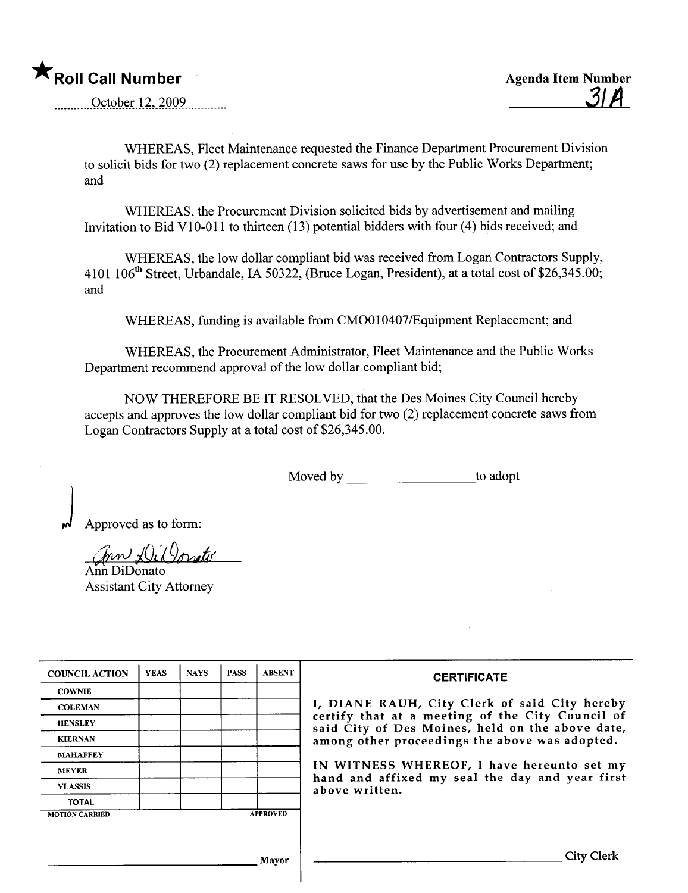October 12, 2009

WHEREAS, Fleet Maintenance requested the Finance Department Procurement Division to solicit bids for two (2) replacement concrete saws for use by the Public Works Department; and

WHEREAS, the Procurement Division solicited bids by advertisement and mailing Invitation to Bid V10-011 to thirteen (13) potential bidders with four (4) bids received; and

WHEREAS, the low dollar compliant bid was received from Logan Contractors Supply, 4101 106<sup>th</sup> Street, Urbandale, IA 50322, (Bruce Logan, President), at a total cost of \$26,345.00; and

WHEREAS, funding is available from CMO010407/Equipment Replacement; and

WHEREAS, the Procurement Administrator, Fleet Maintenance and the Public Works Department recommend approval of the low dollar compliant bid;

NOW THEREFORE BE IT RESOLVED, that the Des Moines City Council hereby accepts and approves the low dollar compliant bid for two (2) replacement concrete saws from Logan Contractors Supply at a total cost of \$26,345.00.

Moved by \_\_\_\_\_\_\_\_\_\_\_\_\_\_\_\_\_\_\_\_\_\_\_\_\_to adopt

Approved as to form:

Ann DiDonato

**Assistant City Attorney** 

| <b>COUNCIL ACTION</b> | <b>YEAS</b> | <b>NAYS</b> | <b>PASS</b> | <b>ABSENT</b>   | <b>CERTIFICATE</b>                                                                                   |
|-----------------------|-------------|-------------|-------------|-----------------|------------------------------------------------------------------------------------------------------|
| <b>COWNIE</b>         |             |             |             |                 |                                                                                                      |
| <b>COLEMAN</b>        |             |             |             |                 | I, DIANE RAUH, City Clerk of said City hereby                                                        |
| <b>HENSLEY</b>        |             |             |             |                 | certify that at a meeting of the City Council of<br>said City of Des Moines, held on the above date, |
| <b>KIERNAN</b>        |             |             |             |                 | among other proceedings the above was adopted.                                                       |
| <b>MAHAFFEY</b>       |             |             |             |                 |                                                                                                      |
| <b>MEYER</b>          |             |             |             |                 | IN WITNESS WHEREOF, I have hereunto set my<br>hand and affixed my seal the day and year first        |
| <b>VLASSIS</b>        |             |             |             |                 | above written.                                                                                       |
| <b>TOTAL</b>          |             |             |             |                 |                                                                                                      |
| <b>MOTION CARRIED</b> |             |             |             | <b>APPROVED</b> |                                                                                                      |
|                       |             |             |             |                 |                                                                                                      |
|                       |             |             |             | Mavor           | City                                                                                                 |